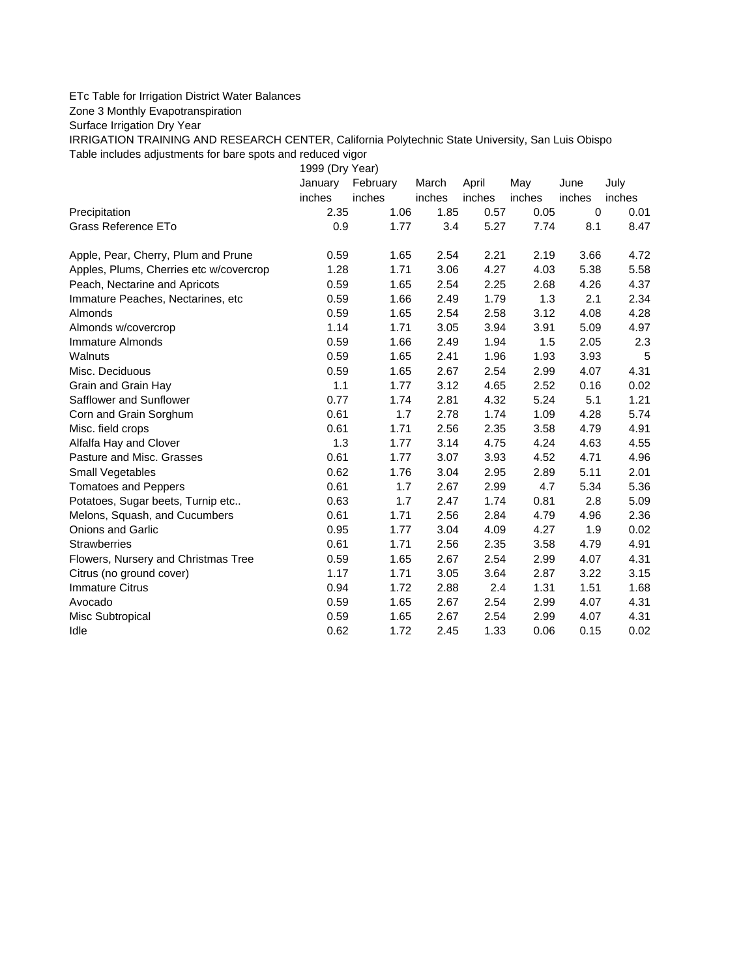## ETc Table for Irrigation District Water Balances

Zone 3 Monthly Evapotranspiration

Surface Irrigation Dry Year

IRRIGATION TRAINING AND RESEARCH CENTER, California Polytechnic State University, San Luis Obispo Table includes adjustments for bare spots and reduced vigor

1999 (Dry Year)

|                                         | January | February | March  | April  | May    | June        | July   |
|-----------------------------------------|---------|----------|--------|--------|--------|-------------|--------|
|                                         | inches  | inches   | inches | inches | inches | inches      | inches |
| Precipitation                           | 2.35    | 1.06     | 1.85   | 0.57   | 0.05   | $\mathbf 0$ | 0.01   |
| Grass Reference ETo                     | 0.9     | 1.77     | 3.4    | 5.27   | 7.74   | 8.1         | 8.47   |
| Apple, Pear, Cherry, Plum and Prune     | 0.59    | 1.65     | 2.54   | 2.21   | 2.19   | 3.66        | 4.72   |
| Apples, Plums, Cherries etc w/covercrop | 1.28    | 1.71     | 3.06   | 4.27   | 4.03   | 5.38        | 5.58   |
| Peach, Nectarine and Apricots           | 0.59    | 1.65     | 2.54   | 2.25   | 2.68   | 4.26        | 4.37   |
| Immature Peaches, Nectarines, etc       | 0.59    | 1.66     | 2.49   | 1.79   | 1.3    | 2.1         | 2.34   |
| Almonds                                 | 0.59    | 1.65     | 2.54   | 2.58   | 3.12   | 4.08        | 4.28   |
| Almonds w/covercrop                     | 1.14    | 1.71     | 3.05   | 3.94   | 3.91   | 5.09        | 4.97   |
| Immature Almonds                        | 0.59    | 1.66     | 2.49   | 1.94   | 1.5    | 2.05        | 2.3    |
| Walnuts                                 | 0.59    | 1.65     | 2.41   | 1.96   | 1.93   | 3.93        | 5      |
| Misc. Deciduous                         | 0.59    | 1.65     | 2.67   | 2.54   | 2.99   | 4.07        | 4.31   |
| Grain and Grain Hay                     | 1.1     | 1.77     | 3.12   | 4.65   | 2.52   | 0.16        | 0.02   |
| Safflower and Sunflower                 | 0.77    | 1.74     | 2.81   | 4.32   | 5.24   | 5.1         | 1.21   |
| Corn and Grain Sorghum                  | 0.61    | 1.7      | 2.78   | 1.74   | 1.09   | 4.28        | 5.74   |
| Misc. field crops                       | 0.61    | 1.71     | 2.56   | 2.35   | 3.58   | 4.79        | 4.91   |
| Alfalfa Hay and Clover                  | 1.3     | 1.77     | 3.14   | 4.75   | 4.24   | 4.63        | 4.55   |
| Pasture and Misc. Grasses               | 0.61    | 1.77     | 3.07   | 3.93   | 4.52   | 4.71        | 4.96   |
| Small Vegetables                        | 0.62    | 1.76     | 3.04   | 2.95   | 2.89   | 5.11        | 2.01   |
| <b>Tomatoes and Peppers</b>             | 0.61    | 1.7      | 2.67   | 2.99   | 4.7    | 5.34        | 5.36   |
| Potatoes, Sugar beets, Turnip etc       | 0.63    | 1.7      | 2.47   | 1.74   | 0.81   | 2.8         | 5.09   |
| Melons, Squash, and Cucumbers           | 0.61    | 1.71     | 2.56   | 2.84   | 4.79   | 4.96        | 2.36   |
| <b>Onions and Garlic</b>                | 0.95    | 1.77     | 3.04   | 4.09   | 4.27   | 1.9         | 0.02   |
| <b>Strawberries</b>                     | 0.61    | 1.71     | 2.56   | 2.35   | 3.58   | 4.79        | 4.91   |
| Flowers, Nursery and Christmas Tree     | 0.59    | 1.65     | 2.67   | 2.54   | 2.99   | 4.07        | 4.31   |
| Citrus (no ground cover)                | 1.17    | 1.71     | 3.05   | 3.64   | 2.87   | 3.22        | 3.15   |
| <b>Immature Citrus</b>                  | 0.94    | 1.72     | 2.88   | 2.4    | 1.31   | 1.51        | 1.68   |
| Avocado                                 | 0.59    | 1.65     | 2.67   | 2.54   | 2.99   | 4.07        | 4.31   |
| Misc Subtropical                        | 0.59    | 1.65     | 2.67   | 2.54   | 2.99   | 4.07        | 4.31   |
| Idle                                    | 0.62    | 1.72     | 2.45   | 1.33   | 0.06   | 0.15        | 0.02   |